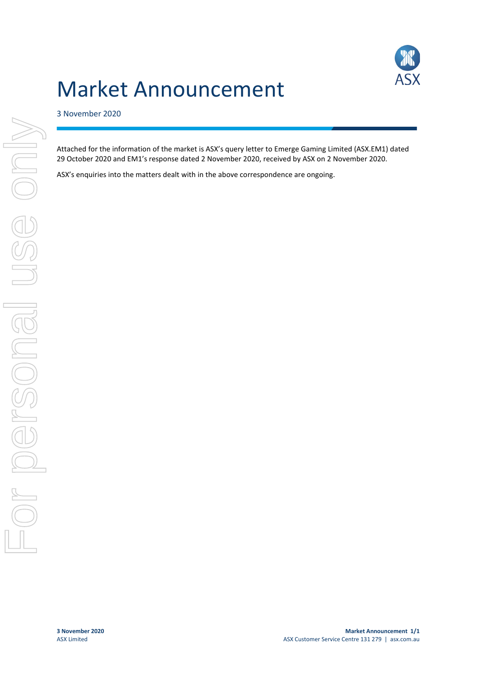# Market Announcement



### 3 November 2020

Attached for the information of the market is ASX's query letter to Emerge Gaming Limited (ASX.EM1) dated 29 October 2020 and EM1's response dated 2 November 2020, received by ASX on 2 November 2020.

ASX's enquiries into the matters dealt with in the above correspondence are ongoing.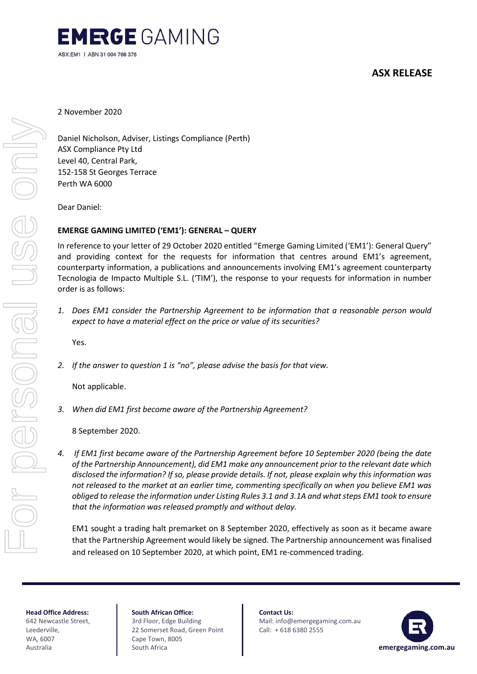

## **ASX RELEASE**

Forersonal use only EC SS personal

2 November 2020

Daniel Nicholson, Adviser, Listings Compliance (Perth) ASX Compliance Pty Ltd Level 40, Central Park, 152-158 St Georges Terrace Perth WA 6000

Dear Daniel:

### **EMERGE GAMING LIMITED ('EM1'): GENERAL – QUERY**

In reference to your letter of 29 October 2020 entitled "Emerge Gaming Limited ('EM1'): General Query" and providing context for the requests for information that centres around EM1's agreement, counterparty information, a publications and announcements involving EM1's agreement counterparty Tecnologia de Impacto Multiple S.L. ('TIM'), the response to your requests for information in number order is as follows:

*1. Does EM1 consider the Partnership Agreement to be information that a reasonable person would expect to have a material effect on the price or value of its securities?*

Yes.

*2. If the answer to question 1 is "no", please advise the basis for that view.*

Not applicable.

*3. When did EM1 first become aware of the Partnership Agreement?*

8 September 2020.

*4. If EM1 first became aware of the Partnership Agreement before 10 September 2020 (being the date of the Partnership Announcement), did EM1 make any announcement prior to the relevant date which disclosed the information? If so, please provide details. If not, please explain why this information was not released to the market at an earlier time, commenting specifically on when you believe EM1 was obliged to release the information under Listing Rules 3.1 and 3.1A and what steps EM1 took to ensure that the information was released promptly and without delay.*

EM1 sought a trading halt premarket on 8 September 2020, effectively as soon as it became aware that the Partnership Agreement would likely be signed. The Partnership announcement was finalised and released on 10 September 2020, at which point, EM1 re-commenced trading.

**Head Office Address:** 642 Newcastle Street, Leederville, WA, 6007 Australia

**South African Office:** 3rd Floor, Edge Building 22 Somerset Road, Green Point Cape Town, 8005 South Africa

**Contact Us:** Mail: info@emergegaming.com.au Call: + 618 6380 2555

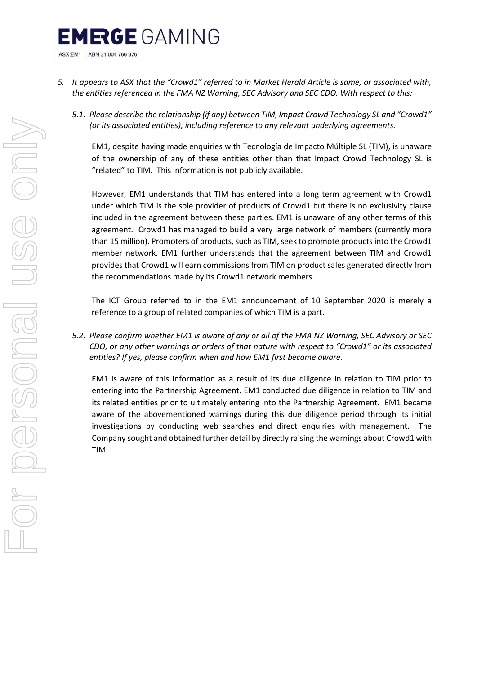# **EMRGE** GAMING ASX:EM1 | ABN 31 004 766 376

- *5. It appears to ASX that the "Crowd1" referred to in Market Herald Article is same, or associated with, the entities referenced in the FMA NZ Warning, SEC Advisory and SEC CDO. With respect to this:*
	- *5.1. Please describe the relationship (if any) between TIM, Impact Crowd Technology SL and "Crowd1" (or its associated entities), including reference to any relevant underlying agreements.*

EM1, despite having made enquiries with Tecnología de Impacto Múltiple SL (TIM), is unaware of the ownership of any of these entities other than that Impact Crowd Technology SL is "related" to TIM. This information is not publicly available.

However, EM1 understands that TIM has entered into a long term agreement with Crowd1 under which TIM is the sole provider of products of Crowd1 but there is no exclusivity clause included in the agreement between these parties. EM1 is unaware of any other terms of this agreement. Crowd1 has managed to build a very large network of members (currently more than 15 million). Promoters of products, such as TIM, seek to promote products into the Crowd1 member network. EM1 further understands that the agreement between TIM and Crowd1 provides that Crowd1 will earn commissions from TIM on product sales generated directly from the recommendations made by its Crowd1 network members.

The ICT Group referred to in the EM1 announcement of 10 September 2020 is merely a reference to a group of related companies of which TIM is a part.

*5.2. Please confirm whether EM1 is aware of any or all of the FMA NZ Warning, SEC Advisory or SEC CDO, or any other warnings or orders of that nature with respect to "Crowd1" or its associated entities? If yes, please confirm when and how EM1 first became aware.*

EM1 is aware of this information as a result of its due diligence in relation to TIM prior to entering into the Partnership Agreement. EM1 conducted due diligence in relation to TIM and its related entities prior to ultimately entering into the Partnership Agreement. EM1 became aware of the abovementioned warnings during this due diligence period through its initial investigations by conducting web searches and direct enquiries with management. The Company sought and obtained further detail by directly raising the warnings about Crowd1 with TIM.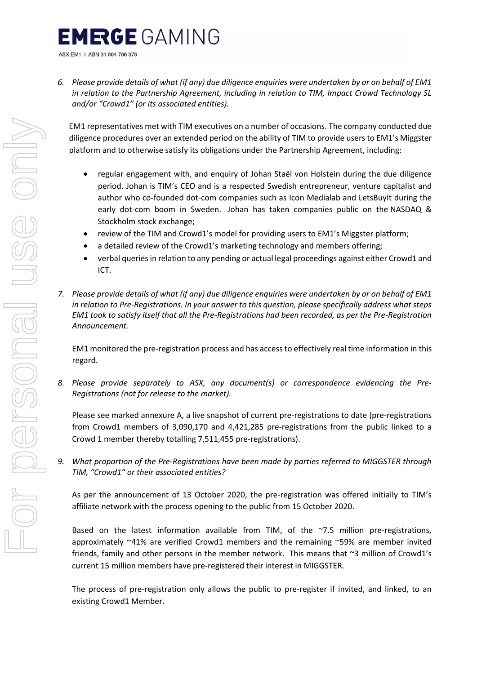# **EMRGE** GAMING

ASX:EM1 | ABN 31 004 766 376

*6. Please provide details of what (if any) due diligence enquiries were undertaken by or on behalf of EM1 in relation to the Partnership Agreement, including in relation to TIM, Impact Crowd Technology SL and/or "Crowd1" (or its associated entities).*

EM1 representatives met with TIM executives on a number of occasions. The company conducted due diligence procedures over an extended period on the ability of TIM to provide users to EM1's Miggster platform and to otherwise satisfy its obligations under the Partnership Agreement, including:

- regular engagement with, and enquiry of Johan Staël von Holstein during the due diligence period. Johan is TIM's CEO and is a respected Swedish entrepreneur, venture capitalist and author who co-founded dot-com companies such as Icon Medialab and LetsBuyIt during the early dot-com boom in Sweden. Johan has taken companies public on the NASDAQ & Stockholm stock exchange;
- review of the TIM and Crowd1's model for providing users to EM1's Miggster platform;
- a detailed review of the Crowd1's marketing technology and members offering;
- verbal queriesin relation to any pending or actual legal proceedings against either Crowd1 and ICT.
- *7. Please provide details of what (if any) due diligence enquiries were undertaken by or on behalf of EM1 in relation to Pre-Registrations. In your answer to this question, please specifically address what steps EM1 took to satisfy itself that all the Pre-Registrations had been recorded, as per the Pre-Registration Announcement.*

EM1 monitored the pre-registration process and has accessto effectively real time information in this regard.

*8. Please provide separately to ASX, any document(s) or correspondence evidencing the Pre-Registrations (not for release to the market).*

Please see marked annexure A, a live snapshot of current pre-registrations to date (pre-registrations from Crowd1 members of 3,090,170 and 4,421,285 pre-registrations from the public linked to a Crowd 1 member thereby totalling 7,511,455 pre-registrations).

*9. What proportion of the Pre-Registrations have been made by parties referred to MIGGSTER through TIM, "Crowd1" or their associated entities?*

As per the announcement of 13 October 2020, the pre-registration was offered initially to TIM's affiliate network with the process opening to the public from 15 October 2020.

Based on the latest information available from TIM, of the  $~7.5$  million pre-registrations, approximately ~41% are verified Crowd1 members and the remaining ~59% are member invited friends, family and other persons in the member network. This means that ~3 million of Crowd1's current 15 million members have pre-registered their interest in MIGGSTER.

The process of pre-registration only allows the public to pre-register if invited, and linked, to an existing Crowd1 Member.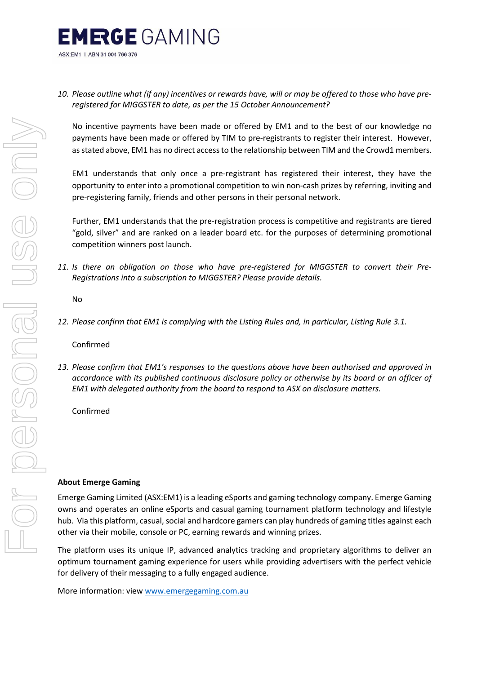

*10. Please outline what (if any) incentives or rewards have, will or may be offered to those who have preregistered for MIGGSTER to date, as per the 15 October Announcement?*

No incentive payments have been made or offered by EM1 and to the best of our knowledge no payments have been made or offered by TIM to pre-registrants to register their interest. However, as stated above, EM1 has no direct access to the relationship between TIM and the Crowd1 members.

EM1 understands that only once a pre-registrant has registered their interest, they have the opportunity to enter into a promotional competition to win non-cash prizes by referring, inviting and pre-registering family, friends and other persons in their personal network.

Further, EM1 understands that the pre-registration process is competitive and registrants are tiered "gold, silver" and are ranked on a leader board etc. for the purposes of determining promotional competition winners post launch.

*11. Is there an obligation on those who have pre-registered for MIGGSTER to convert their Pre-Registrations into a subscription to MIGGSTER? Please provide details.*

No

*12. Please confirm that EM1 is complying with the Listing Rules and, in particular, Listing Rule 3.1.*

Confirmed

*13. Please confirm that EM1's responses to the questions above have been authorised and approved in accordance with its published continuous disclosure policy or otherwise by its board or an officer of EM1 with delegated authority from the board to respond to ASX on disclosure matters.*

Confirmed

#### **About Emerge Gaming**

Emerge Gaming Limited (ASX:EM1) is a leading eSports and gaming technology company. Emerge Gaming owns and operates an online eSports and casual gaming tournament platform technology and lifestyle hub. Via this platform, casual, social and hardcore gamers can play hundreds of gaming titles against each other via their mobile, console or PC, earning rewards and winning prizes.

The platform uses its unique IP, advanced analytics tracking and proprietary algorithms to deliver an optimum tournament gaming experience for users while providing advertisers with the perfect vehicle for delivery of their messaging to a fully engaged audience.

More information: view [www.emergegaming.com.au](http://www.emergegaming.com.au/)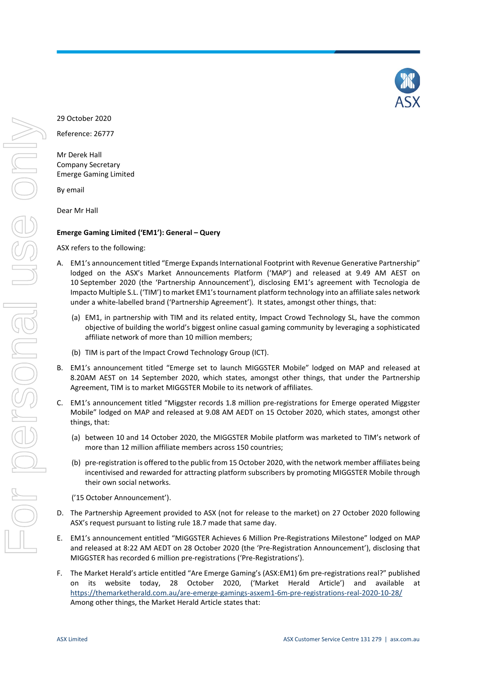

29 October 2020

Reference: 26777

Mr Derek Hall Company Secretary Emerge Gaming Limited

By email

Dear Mr Hall

#### **Emerge Gaming Limited ('EM1'): General – Query**

ASX refers to the following:

- A. EM1's announcement titled "Emerge Expands International Footprint with Revenue Generative Partnership" lodged on the ASX's Market Announcements Platform ('MAP') and released at 9.49 AM AEST on 10 September 2020 (the 'Partnership Announcement'), disclosing EM1's agreement with Tecnologia de Impacto Multiple S.L. ('TIM') to market EM1's tournament platform technology into an affiliate sales network under a white-labelled brand ('Partnership Agreement'). It states, amongst other things, that:
	- (a) EM1, in partnership with TIM and its related entity, Impact Crowd Technology SL, have the common objective of building the world's biggest online casual gaming community by leveraging a sophisticated affiliate network of more than 10 million members;
	- (b) TIM is part of the Impact Crowd Technology Group (ICT).
- B. EM1's announcement titled "Emerge set to launch MIGGSTER Mobile" lodged on MAP and released at 8.20AM AEST on 14 September 2020, which states, amongst other things, that under the Partnership Agreement, TIM is to market MIGGSTER Mobile to its network of affiliates.
- C. EM1's announcement titled "Miggster records 1.8 million pre-registrations for Emerge operated Miggster Mobile" lodged on MAP and released at 9.08 AM AEDT on 15 October 2020, which states, amongst other things, that:
	- (a) between 10 and 14 October 2020, the MIGGSTER Mobile platform was marketed to TIM's network of more than 12 million affiliate members across 150 countries;
	- (b) pre-registration is offered to the public from 15 October 2020, with the network member affiliates being incentivised and rewarded for attracting platform subscribers by promoting MIGGSTER Mobile through their own social networks.
	- ('15 October Announcement').
- D. The Partnership Agreement provided to ASX (not for release to the market) on 27 October 2020 following ASX's request pursuant to listing rule 18.7 made that same day.
- E. EM1's announcement entitled "MIGGSTER Achieves 6 Million Pre-Registrations Milestone" lodged on MAP and released at 8:22 AM AEDT on 28 October 2020 (the 'Pre-Registration Announcement'), disclosing that MIGGSTER has recorded 6 million pre-registrations ('Pre-Registrations').
- F. The Market Herald's article entitled "Are Emerge Gaming's (ASX:EM1) 6m pre-registrations real?" published on its website today, 28 October 2020, ('Market Herald Article') and available at <https://themarketherald.com.au/are-emerge-gamings-asxem1-6m-pre-registrations-real-2020-10-28/> Among other things, the Market Herald Article states that: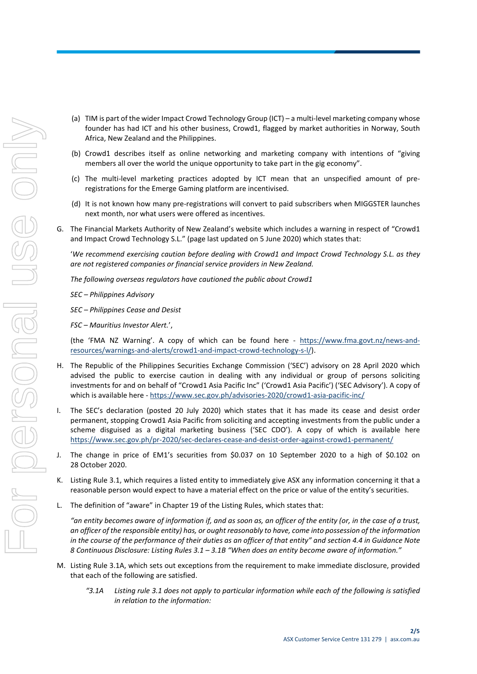- (a) TIM is part of the wider Impact Crowd Technology Group (ICT) a multi-level marketing company whose founder has had ICT and his other business, Crowd1, flagged by market authorities in Norway, South Africa, New Zealand and the Philippines.
- (b) Crowd1 describes itself as online networking and marketing company with intentions of "giving members all over the world the unique opportunity to take part in the gig economy".
- (c) The multi-level marketing practices adopted by ICT mean that an unspecified amount of preregistrations for the Emerge Gaming platform are incentivised.
- (d) It is not known how many pre-registrations will convert to paid subscribers when MIGGSTER launches next month, nor what users were offered as incentives.
- G. The Financial Markets Authority of New Zealand's website which includes a warning in respect of "Crowd1 and Impact Crowd Technology S.L." (page last updated on 5 June 2020) which states that:

'*We recommend exercising caution before dealing with Crowd1 and Impact Crowd Technology S.L. as they are not registered companies or financial service providers in New Zealand.*

*The following overseas regulators have cautioned the public about Crowd1*

*SEC – Philippines Advisory*

*SEC – Philippines Cease and Desist*

*FSC – Mauritius Investor Alert.*',

(the 'FMA NZ Warning'. A copy of which can be found here - [https://www.fma.govt.nz/news-and](https://www.fma.govt.nz/news-and-resources/warnings-and-alerts/crowd1-and-impact-crowd-technology-s-l/)[resources/warnings-and-alerts/crowd1-and-impact-crowd-technology-s-l/\)](https://www.fma.govt.nz/news-and-resources/warnings-and-alerts/crowd1-and-impact-crowd-technology-s-l/).

- H. The Republic of the Philippines Securities Exchange Commission ('SEC') advisory on 28 April 2020 which advised the public to exercise caution in dealing with any individual or group of persons soliciting investments for and on behalf of "Crowd1 Asia Pacific Inc" ('Crowd1 Asia Pacific') ('SEC Advisory'). A copy of which is available here - <https://www.sec.gov.ph/advisories-2020/crowd1-asia-pacific-inc/>
- I. The SEC's declaration (posted 20 July 2020) which states that it has made its cease and desist order permanent, stopping Crowd1 Asia Pacific from soliciting and accepting investments from the public under a scheme disguised as a digital marketing business ('SEC CDO'). A copy of which is available here <https://www.sec.gov.ph/pr-2020/sec-declares-cease-and-desist-order-against-crowd1-permanent/>
- J. The change in price of EM1's securities from \$0.037 on 10 September 2020 to a high of \$0.102 on 28 October 2020.
- K. Listing Rule 3.1, which requires a listed entity to immediately give ASX any information concerning it that a reasonable person would expect to have a material effect on the price or value of the entity's securities.
- L. The definition of "aware" in Chapter 19 of the Listing Rules, which states that:

*"an entity becomes aware of information if, and as soon as, an officer of the entity (or, in the case of a trust, an officer of the responsible entity) has, or ought reasonably to have, come into possession of the information in the course of the performance of their duties as an officer of that entity" and section 4.4 in Guidance Note 8 Continuous Disclosure: Listing Rules 3.1 – 3.1B "When does an entity become aware of information."*

- M. Listing Rule 3.1A, which sets out exceptions from the requirement to make immediate disclosure, provided that each of the following are satisfied.
	- *"3.1A Listing rule 3.1 does not apply to particular information while each of the following is satisfied in relation to the information:*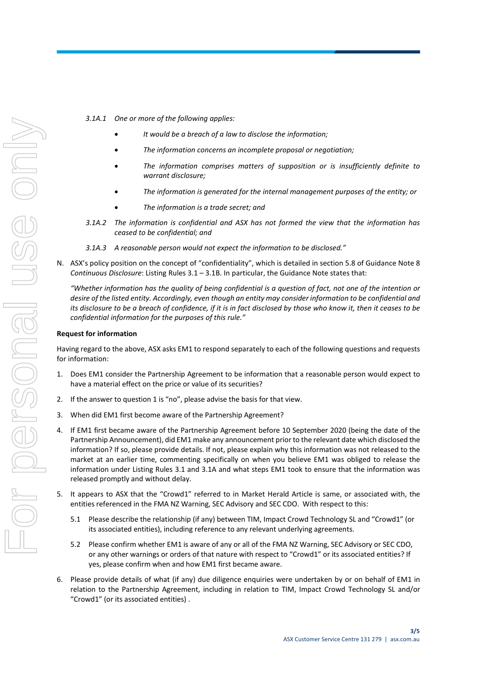- *3.1A.1 One or more of the following applies:*
	- *It would be a breach of a law to disclose the information;*
	- *The information concerns an incomplete proposal or negotiation;*
	- *The information comprises matters of supposition or is insufficiently definite to warrant disclosure;*
	- *The information is generated for the internal management purposes of the entity; or*
	- *The information is a trade secret; and*
- *3.1A.2 The information is confidential and ASX has not formed the view that the information has ceased to be confidential; and*
- *3.1A.3 A reasonable person would not expect the information to be disclosed."*
- N. ASX's policy position on the concept of "confidentiality", which is detailed in section 5.8 of Guidance Note 8 *Continuous Disclosure*: Listing Rules 3.1 – 3.1B. In particular, the Guidance Note states that:

*"Whether information has the quality of being confidential is a question of fact, not one of the intention or desire of the listed entity. Accordingly, even though an entity may consider information to be confidential and its disclosure to be a breach of confidence, if it is in fact disclosed by those who know it, then it ceases to be confidential information for the purposes of this rule."*

#### **Request for information**

Having regard to the above, ASX asks EM1 to respond separately to each of the following questions and requests for information:

- 1. Does EM1 consider the Partnership Agreement to be information that a reasonable person would expect to have a material effect on the price or value of its securities?
- 2. If the answer to question 1 is "no", please advise the basis for that view.
- 3. When did EM1 first become aware of the Partnership Agreement?
- 4. If EM1 first became aware of the Partnership Agreement before 10 September 2020 (being the date of the Partnership Announcement), did EM1 make any announcement prior to the relevant date which disclosed the information? If so, please provide details. If not, please explain why this information was not released to the market at an earlier time, commenting specifically on when you believe EM1 was obliged to release the information under Listing Rules 3.1 and 3.1A and what steps EM1 took to ensure that the information was released promptly and without delay.
- 5. It appears to ASX that the "Crowd1" referred to in Market Herald Article is same, or associated with, the entities referenced in the FMA NZ Warning, SEC Advisory and SEC CDO. With respect to this:
	- 5.1 Please describe the relationship (if any) between TIM, Impact Crowd Technology SL and "Crowd1" (or its associated entities), including reference to any relevant underlying agreements.
	- 5.2 Please confirm whether EM1 is aware of any or all of the FMA NZ Warning, SEC Advisory or SEC CDO, or any other warnings or orders of that nature with respect to "Crowd1" or its associated entities? If yes, please confirm when and how EM1 first became aware.
- 6. Please provide details of what (if any) due diligence enquiries were undertaken by or on behalf of EM1 in relation to the Partnership Agreement, including in relation to TIM, Impact Crowd Technology SL and/or "Crowd1" (or its associated entities) .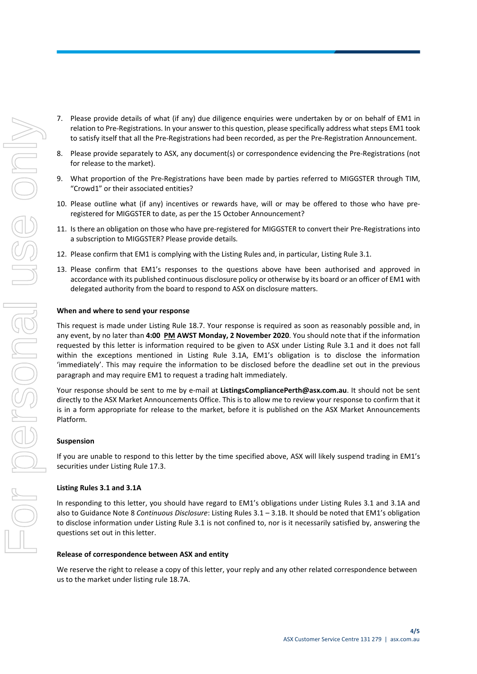- 7. Please provide details of what (if any) due diligence enquiries were undertaken by or on behalf of EM1 in relation to Pre-Registrations. In your answer to this question, please specifically address what steps EM1 took to satisfy itself that all the Pre-Registrations had been recorded, as per the Pre-Registration Announcement.
- 8. Please provide separately to ASX, any document(s) or correspondence evidencing the Pre-Registrations (not for release to the market).
- 9. What proportion of the Pre-Registrations have been made by parties referred to MIGGSTER through TIM, "Crowd1" or their associated entities?
- 10. Please outline what (if any) incentives or rewards have, will or may be offered to those who have preregistered for MIGGSTER to date, as per the 15 October Announcement?
- 11. Is there an obligation on those who have pre-registered for MIGGSTER to convert their Pre-Registrations into a subscription to MIGGSTER? Please provide details.
- 12. Please confirm that EM1 is complying with the Listing Rules and, in particular, Listing Rule 3.1.
- 13. Please confirm that EM1's responses to the questions above have been authorised and approved in accordance with its published continuous disclosure policy or otherwise by its board or an officer of EM1 with delegated authority from the board to respond to ASX on disclosure matters.

#### **When and where to send your response**

This request is made under Listing Rule 18.7. Your response is required as soon as reasonably possible and, in any event, by no later than **4:00 PM AWST Monday, 2 November 2020**. You should note that if the information requested by this letter is information required to be given to ASX under Listing Rule 3.1 and it does not fall within the exceptions mentioned in Listing Rule 3.1A, EM1's obligation is to disclose the information 'immediately'. This may require the information to be disclosed before the deadline set out in the previous paragraph and may require EM1 to request a trading halt immediately.

Your response should be sent to me by e-mail at **ListingsCompliancePerth@asx.com.au**. It should not be sent directly to the ASX Market Announcements Office. This is to allow me to review your response to confirm that it is in a form appropriate for release to the market, before it is published on the ASX Market Announcements Platform.

#### **Suspension**

If you are unable to respond to this letter by the time specified above, ASX will likely suspend trading in EM1's securities under Listing Rule 17.3.

#### **Listing Rules 3.1 and 3.1A**

In responding to this letter, you should have regard to EM1's obligations under Listing Rules 3.1 and 3.1A and also to Guidance Note 8 *Continuous Disclosure*: Listing Rules 3.1 – 3.1B. It should be noted that EM1's obligation to disclose information under Listing Rule 3.1 is not confined to, nor is it necessarily satisfied by, answering the questions set out in this letter.

#### **Release of correspondence between ASX and entity**

We reserve the right to release a copy of this letter, your reply and any other related correspondence between us to the market under listing rule 18.7A.